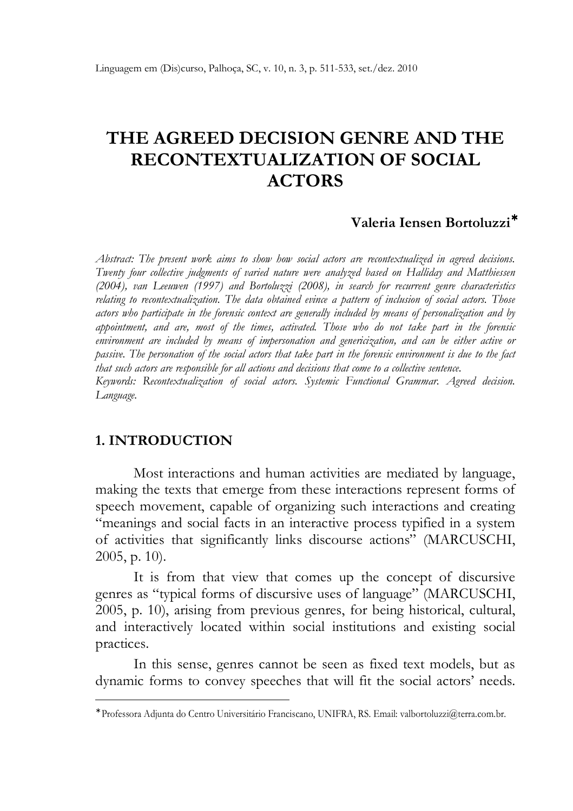# THE AGREED DECISION GENRE AND THE RECONTEXTUALIZATION OF SOCIAL ACTORS

#### Valeria Iensen Bortoluzzi<sup>∗</sup>

Abstract: The present work aims to show how social actors are recontextualized in agreed decisions. Twenty four collective judgments of varied nature were analyzed based on Halliday and Matthiessen (2004), van Leeuwen (1997) and Bortoluzzi (2008), in search for recurrent genre characteristics relating to recontextualization. The data obtained evince a pattern of inclusion of social actors. Those actors who participate in the forensic context are generally included by means of personalization and by appointment, and are, most of the times, activated. Those who do not take part in the forensic environment are included by means of impersonation and genericization, and can be either active or passive. The personation of the social actors that take part in the forensic environment is due to the fact that such actors are responsible for all actions and decisions that come to a collective sentence. Keywords: Recontextualization of social actors. Systemic Functional Grammar. Agreed decision. Language.

#### 1. INTRODUCTION

1

Most interactions and human activities are mediated by language, making the texts that emerge from these interactions represent forms of speech movement, capable of organizing such interactions and creating "meanings and social facts in an interactive process typified in a system of activities that significantly links discourse actions" (MARCUSCHI, 2005, p. 10).

It is from that view that comes up the concept of discursive genres as "typical forms of discursive uses of language" (MARCUSCHI, 2005, p. 10), arising from previous genres, for being historical, cultural, and interactively located within social institutions and existing social practices.

In this sense, genres cannot be seen as fixed text models, but as dynamic forms to convey speeches that will fit the social actors' needs.

<sup>∗</sup> Professora Adjunta do Centro Universitário Franciscano, UNIFRA, RS. Email: valbortoluzzi@terra.com.br.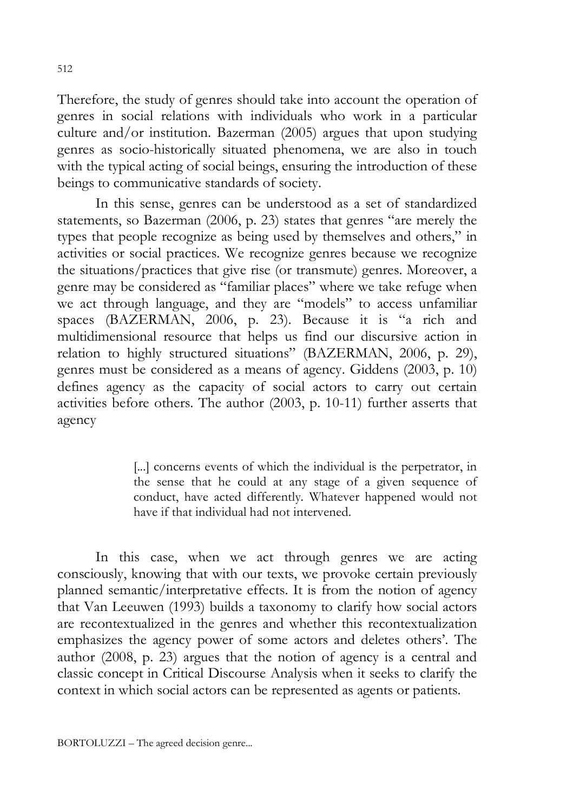Therefore, the study of genres should take into account the operation of genres in social relations with individuals who work in a particular culture and/or institution. Bazerman (2005) argues that upon studying genres as socio-historically situated phenomena, we are also in touch with the typical acting of social beings, ensuring the introduction of these beings to communicative standards of society.

In this sense, genres can be understood as a set of standardized statements, so Bazerman (2006, p. 23) states that genres "are merely the types that people recognize as being used by themselves and others," in activities or social practices. We recognize genres because we recognize the situations/practices that give rise (or transmute) genres. Moreover, a genre may be considered as "familiar places" where we take refuge when we act through language, and they are "models" to access unfamiliar spaces (BAZERMAN, 2006, p. 23). Because it is "a rich and multidimensional resource that helps us find our discursive action in relation to highly structured situations" (BAZERMAN, 2006, p. 29), genres must be considered as a means of agency. Giddens (2003, p. 10) defines agency as the capacity of social actors to carry out certain activities before others. The author (2003, p. 10-11) further asserts that agency

> [...] concerns events of which the individual is the perpetrator, in the sense that he could at any stage of a given sequence of conduct, have acted differently. Whatever happened would not have if that individual had not intervened.

In this case, when we act through genres we are acting consciously, knowing that with our texts, we provoke certain previously planned semantic/interpretative effects. It is from the notion of agency that Van Leeuwen (1993) builds a taxonomy to clarify how social actors are recontextualized in the genres and whether this recontextualization emphasizes the agency power of some actors and deletes others'. The author (2008, p. 23) argues that the notion of agency is a central and classic concept in Critical Discourse Analysis when it seeks to clarify the context in which social actors can be represented as agents or patients.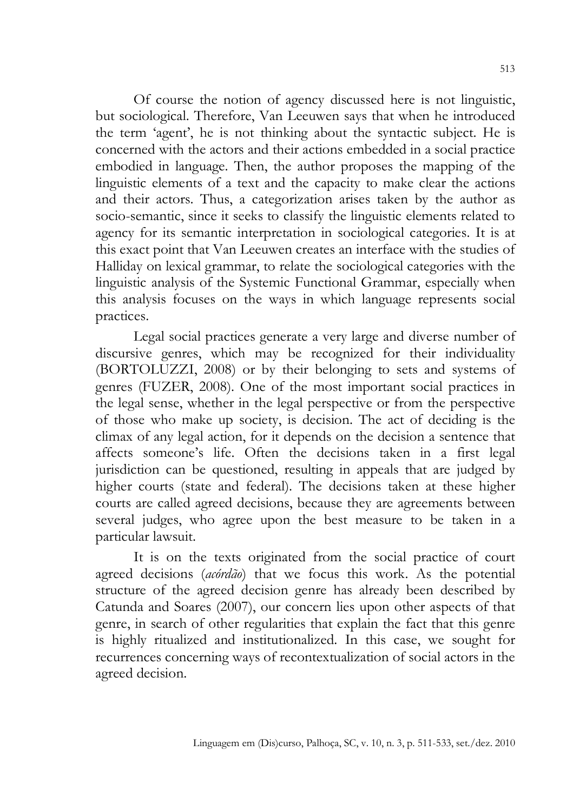Of course the notion of agency discussed here is not linguistic, but sociological. Therefore, Van Leeuwen says that when he introduced the term 'agent', he is not thinking about the syntactic subject. He is concerned with the actors and their actions embedded in a social practice embodied in language. Then, the author proposes the mapping of the linguistic elements of a text and the capacity to make clear the actions and their actors. Thus, a categorization arises taken by the author as socio-semantic, since it seeks to classify the linguistic elements related to agency for its semantic interpretation in sociological categories. It is at this exact point that Van Leeuwen creates an interface with the studies of Halliday on lexical grammar, to relate the sociological categories with the linguistic analysis of the Systemic Functional Grammar, especially when this analysis focuses on the ways in which language represents social practices.

Legal social practices generate a very large and diverse number of discursive genres, which may be recognized for their individuality (BORTOLUZZI, 2008) or by their belonging to sets and systems of genres (FUZER, 2008). One of the most important social practices in the legal sense, whether in the legal perspective or from the perspective of those who make up society, is decision. The act of deciding is the climax of any legal action, for it depends on the decision a sentence that affects someone's life. Often the decisions taken in a first legal jurisdiction can be questioned, resulting in appeals that are judged by higher courts (state and federal). The decisions taken at these higher courts are called agreed decisions, because they are agreements between several judges, who agree upon the best measure to be taken in a particular lawsuit.

It is on the texts originated from the social practice of court agreed decisions (*acórdão*) that we focus this work. As the potential structure of the agreed decision genre has already been described by Catunda and Soares (2007), our concern lies upon other aspects of that genre, in search of other regularities that explain the fact that this genre is highly ritualized and institutionalized. In this case, we sought for recurrences concerning ways of recontextualization of social actors in the agreed decision.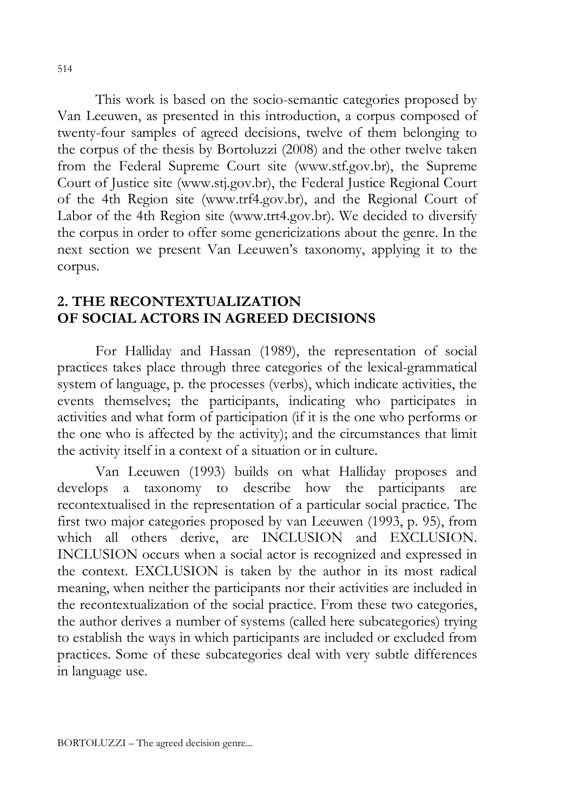This work is based on the socio-semantic categories proposed by Van Leeuwen, as presented in this introduction, a corpus composed of twenty-four samples of agreed decisions, twelve of them belonging to the corpus of the thesis by Bortoluzzi (2008) and the other twelve taken from the Federal Supreme Court site (www.stf.gov.br), the Supreme Court of Justice site (www.stj.gov.br), the Federal Justice Regional Court of the 4th Region site (www.trf4.gov.br), and the Regional Court of Labor of the 4th Region site (www.trt4.gov.br). We decided to diversify the corpus in order to offer some genericizations about the genre. In the next section we present Van Leeuwen's taxonomy, applying it to the corpus.

# 2. THE RECONTEXTUALIZATION OF SOCIAL ACTORS IN AGREED DECISIONS

For Halliday and Hassan (1989), the representation of social practices takes place through three categories of the lexical-grammatical system of language, p. the processes (verbs), which indicate activities, the events themselves; the participants, indicating who participates in activities and what form of participation (if it is the one who performs or the one who is affected by the activity); and the circumstances that limit the activity itself in a context of a situation or in culture.

Van Leeuwen (1993) builds on what Halliday proposes and develops a taxonomy to describe how the participants are recontextualised in the representation of a particular social practice. The first two major categories proposed by van Leeuwen (1993, p. 95), from which all others derive, are INCLUSION and EXCLUSION. INCLUSION occurs when a social actor is recognized and expressed in the context. EXCLUSION is taken by the author in its most radical meaning, when neither the participants nor their activities are included in the recontextualization of the social practice. From these two categories, the author derives a number of systems (called here subcategories) trying to establish the ways in which participants are included or excluded from practices. Some of these subcategories deal with very subtle differences in language use.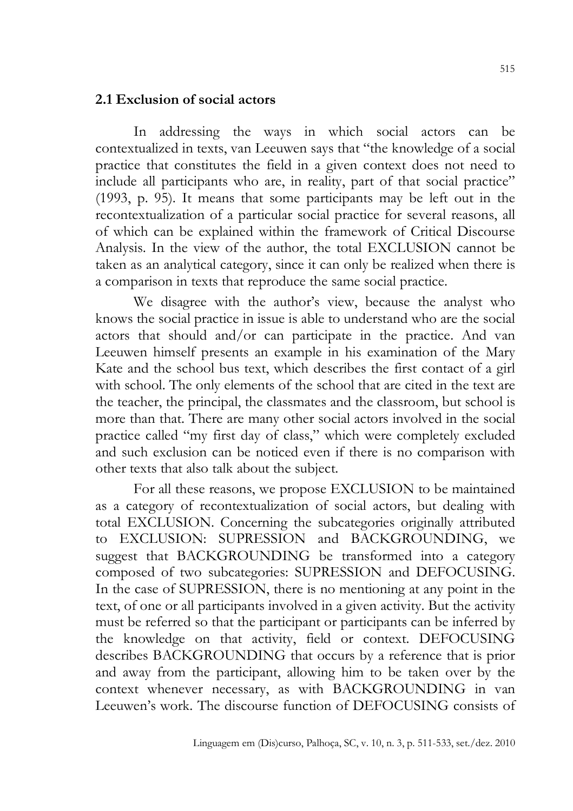# 2.1 Exclusion of social actors

In addressing the ways in which social actors can be contextualized in texts, van Leeuwen says that "the knowledge of a social practice that constitutes the field in a given context does not need to include all participants who are, in reality, part of that social practice" (1993, p. 95). It means that some participants may be left out in the recontextualization of a particular social practice for several reasons, all of which can be explained within the framework of Critical Discourse Analysis. In the view of the author, the total EXCLUSION cannot be taken as an analytical category, since it can only be realized when there is a comparison in texts that reproduce the same social practice.

We disagree with the author's view, because the analyst who knows the social practice in issue is able to understand who are the social actors that should and/or can participate in the practice. And van Leeuwen himself presents an example in his examination of the Mary Kate and the school bus text, which describes the first contact of a girl with school. The only elements of the school that are cited in the text are the teacher, the principal, the classmates and the classroom, but school is more than that. There are many other social actors involved in the social practice called "my first day of class," which were completely excluded and such exclusion can be noticed even if there is no comparison with other texts that also talk about the subject.

For all these reasons, we propose EXCLUSION to be maintained as a category of recontextualization of social actors, but dealing with total EXCLUSION. Concerning the subcategories originally attributed to EXCLUSION: SUPRESSION and BACKGROUNDING, we suggest that BACKGROUNDING be transformed into a category composed of two subcategories: SUPRESSION and DEFOCUSING. In the case of SUPRESSION, there is no mentioning at any point in the text, of one or all participants involved in a given activity. But the activity must be referred so that the participant or participants can be inferred by the knowledge on that activity, field or context. DEFOCUSING describes BACKGROUNDING that occurs by a reference that is prior and away from the participant, allowing him to be taken over by the context whenever necessary, as with BACKGROUNDING in van Leeuwen's work. The discourse function of DEFOCUSING consists of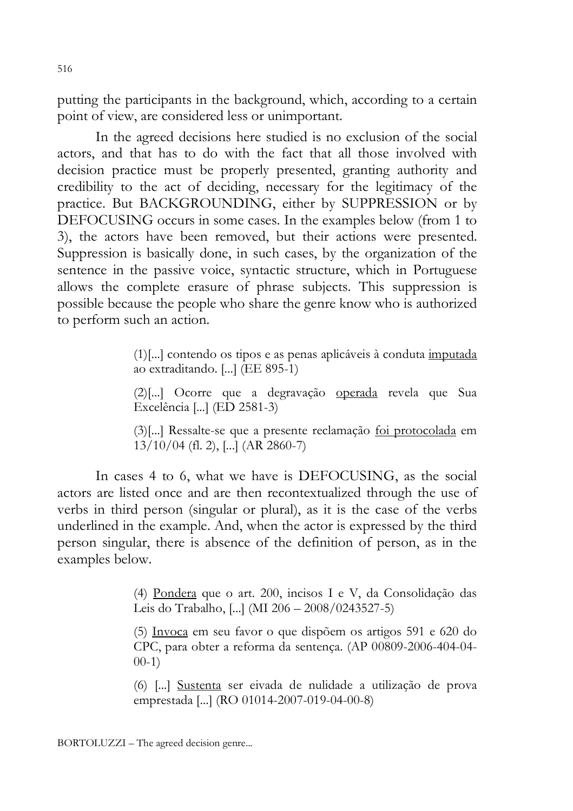putting the participants in the background, which, according to a certain point of view, are considered less or unimportant.

In the agreed decisions here studied is no exclusion of the social actors, and that has to do with the fact that all those involved with decision practice must be properly presented, granting authority and credibility to the act of deciding, necessary for the legitimacy of the practice. But BACKGROUNDING, either by SUPPRESSION or by DEFOCUSING occurs in some cases. In the examples below (from 1 to 3), the actors have been removed, but their actions were presented. Suppression is basically done, in such cases, by the organization of the sentence in the passive voice, syntactic structure, which in Portuguese allows the complete erasure of phrase subjects. This suppression is possible because the people who share the genre know who is authorized to perform such an action.

> (1)[...] contendo os tipos e as penas aplicáveis à conduta imputada ao extraditando. [...] (EE 895-1)

> (2)[...] Ocorre que a degravação operada revela que Sua Excelência [...] (ED 2581-3)

> (3)[...] Ressalte-se que a presente reclamação foi protocolada em 13/10/04 (fl. 2), [...] (AR 2860-7)

In cases 4 to 6, what we have is DEFOCUSING, as the social actors are listed once and are then recontextualized through the use of verbs in third person (singular or plural), as it is the case of the verbs underlined in the example. And, when the actor is expressed by the third person singular, there is absence of the definition of person, as in the examples below.

> (4) Pondera que o art. 200, incisos I e V, da Consolidação das Leis do Trabalho, [...] (MI 206 – 2008/0243527-5)

> (5) Invoca em seu favor o que dispõem os artigos 591 e 620 do CPC, para obter a reforma da sentença. (AP 00809-2006-404-04- 00-1)

> (6) [...] Sustenta ser eivada de nulidade a utilização de prova emprestada [...] (RO 01014-2007-019-04-00-8)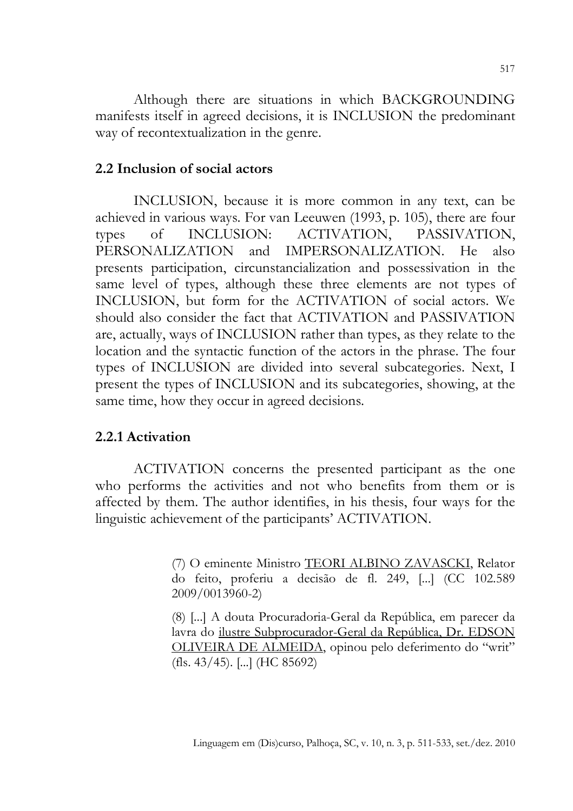Although there are situations in which BACKGROUNDING manifests itself in agreed decisions, it is INCLUSION the predominant way of recontextualization in the genre.

#### 2.2 Inclusion of social actors

INCLUSION, because it is more common in any text, can be achieved in various ways. For van Leeuwen (1993, p. 105), there are four types of INCLUSION: ACTIVATION, PASSIVATION, PERSONALIZATION and IMPERSONALIZATION. He also presents participation, circunstancialization and possessivation in the same level of types, although these three elements are not types of INCLUSION, but form for the ACTIVATION of social actors. We should also consider the fact that ACTIVATION and PASSIVATION are, actually, ways of INCLUSION rather than types, as they relate to the location and the syntactic function of the actors in the phrase. The four types of INCLUSION are divided into several subcategories. Next, I present the types of INCLUSION and its subcategories, showing, at the same time, how they occur in agreed decisions.

#### 2.2.1 Activation

ACTIVATION concerns the presented participant as the one who performs the activities and not who benefits from them or is affected by them. The author identifies, in his thesis, four ways for the linguistic achievement of the participants' ACTIVATION.

> (7) O eminente Ministro TEORI ALBINO ZAVASCKI, Relator do feito, proferiu a decisão de fl. 249, [...] (CC 102.589 2009/0013960-2)

> (8) [...] A douta Procuradoria-Geral da República, em parecer da lavra do ilustre Subprocurador-Geral da República, Dr. EDSON OLIVEIRA DE ALMEIDA, opinou pelo deferimento do "writ" (fls. 43/45). [...] (HC 85692)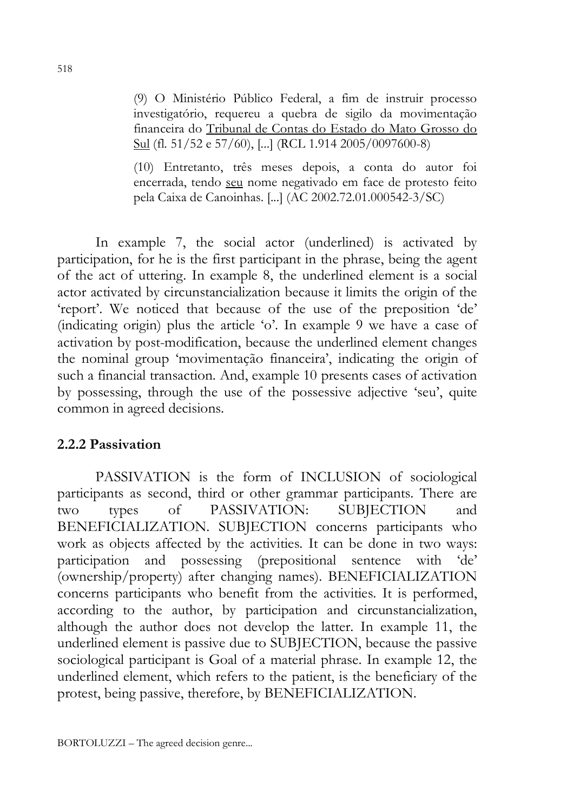(9) O Ministério Público Federal, a fim de instruir processo investigatório, requereu a quebra de sigilo da movimentação financeira do Tribunal de Contas do Estado do Mato Grosso do Sul (fl. 51/52 e 57/60), [...] (RCL 1.914 2005/0097600-8)

(10) Entretanto, três meses depois, a conta do autor foi encerrada, tendo seu nome negativado em face de protesto feito pela Caixa de Canoinhas. [...] (AC 2002.72.01.000542-3/SC)

In example 7, the social actor (underlined) is activated by participation, for he is the first participant in the phrase, being the agent of the act of uttering. In example 8, the underlined element is a social actor activated by circunstancialization because it limits the origin of the 'report'. We noticed that because of the use of the preposition 'de' (indicating origin) plus the article 'o'. In example 9 we have a case of activation by post-modification, because the underlined element changes the nominal group 'movimentação financeira', indicating the origin of such a financial transaction. And, example 10 presents cases of activation by possessing, through the use of the possessive adjective 'seu', quite common in agreed decisions.

## 2.2.2 Passivation

PASSIVATION is the form of INCLUSION of sociological participants as second, third or other grammar participants. There are two types of PASSIVATION: SUBJECTION and BENEFICIALIZATION. SUBJECTION concerns participants who work as objects affected by the activities. It can be done in two ways: participation and possessing (prepositional sentence with 'de' (ownership/property) after changing names). BENEFICIALIZATION concerns participants who benefit from the activities. It is performed, according to the author, by participation and circunstancialization, although the author does not develop the latter. In example 11, the underlined element is passive due to SUBJECTION, because the passive sociological participant is Goal of a material phrase. In example 12, the underlined element, which refers to the patient, is the beneficiary of the protest, being passive, therefore, by BENEFICIALIZATION.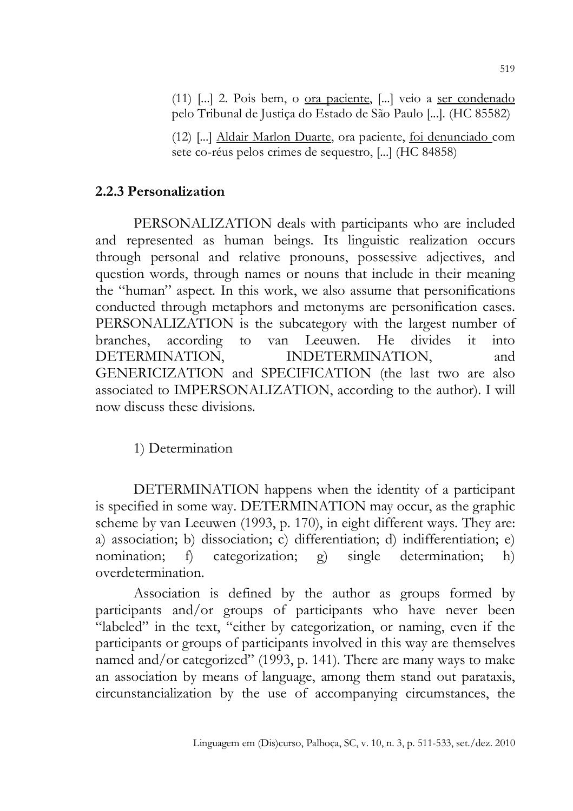(11) [...] 2. Pois bem, o ora paciente, [...] veio a ser condenado pelo Tribunal de Justiça do Estado de São Paulo [...]. (HC 85582)

(12) [...] Aldair Marlon Duarte, ora paciente, foi denunciado com sete co-réus pelos crimes de sequestro, [...] (HC 84858)

## 2.2.3 Personalization

PERSONALIZATION deals with participants who are included and represented as human beings. Its linguistic realization occurs through personal and relative pronouns, possessive adjectives, and question words, through names or nouns that include in their meaning the "human" aspect. In this work, we also assume that personifications conducted through metaphors and metonyms are personification cases. PERSONALIZATION is the subcategory with the largest number of branches, according to van Leeuwen. He divides it into DETERMINATION, INDETERMINATION, and GENERICIZATION and SPECIFICATION (the last two are also associated to IMPERSONALIZATION, according to the author). I will now discuss these divisions.

1) Determination

DETERMINATION happens when the identity of a participant is specified in some way. DETERMINATION may occur, as the graphic scheme by van Leeuwen (1993, p. 170), in eight different ways. They are: a) association; b) dissociation; c) differentiation; d) indifferentiation; e) nomination; f) categorization; g) single determination; h) overdetermination.

Association is defined by the author as groups formed by participants and/or groups of participants who have never been "labeled" in the text, "either by categorization, or naming, even if the participants or groups of participants involved in this way are themselves named and/or categorized" (1993, p. 141). There are many ways to make an association by means of language, among them stand out parataxis, circunstancialization by the use of accompanying circumstances, the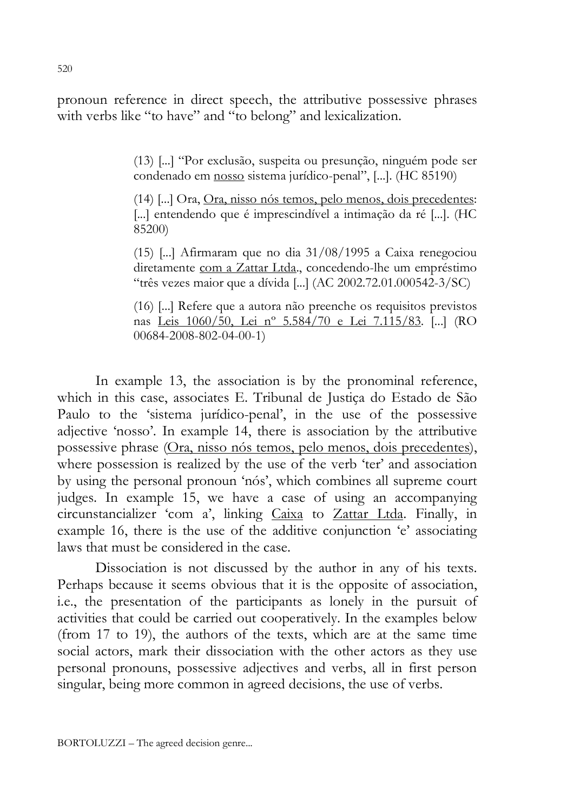pronoun reference in direct speech, the attributive possessive phrases with verbs like "to have" and "to belong" and lexicalization.

> (13) [...] "Por exclusão, suspeita ou presunção, ninguém pode ser condenado em nosso sistema jurídico-penal", [...]. (HC 85190)

> (14) [...] Ora, Ora, nisso nós temos, pelo menos, dois precedentes: [...] entendendo que é imprescindível a intimação da ré [...]. (HC 85200)

> (15) [...] Afirmaram que no dia 31/08/1995 a Caixa renegociou diretamente com a Zattar Ltda., concedendo-lhe um empréstimo "três vezes maior que a dívida [...] (AC 2002.72.01.000542-3/SC)

> (16) [...] Refere que a autora não preenche os requisitos previstos nas Leis 1060/50, Lei nº 5.584/70 e Lei 7.115/83. [...] (RO 00684-2008-802-04-00-1)

In example 13, the association is by the pronominal reference, which in this case, associates E. Tribunal de Justiça do Estado de São Paulo to the 'sistema jurídico-penal', in the use of the possessive adjective 'nosso'. In example 14, there is association by the attributive possessive phrase (Ora, nisso nós temos, pelo menos, dois precedentes), where possession is realized by the use of the verb 'ter' and association by using the personal pronoun 'nós', which combines all supreme court judges. In example 15, we have a case of using an accompanying circunstancializer 'com a', linking Caixa to Zattar Ltda. Finally, in example 16, there is the use of the additive conjunction 'e' associating laws that must be considered in the case.

Dissociation is not discussed by the author in any of his texts. Perhaps because it seems obvious that it is the opposite of association, i.e., the presentation of the participants as lonely in the pursuit of activities that could be carried out cooperatively. In the examples below (from 17 to 19), the authors of the texts, which are at the same time social actors, mark their dissociation with the other actors as they use personal pronouns, possessive adjectives and verbs, all in first person singular, being more common in agreed decisions, the use of verbs.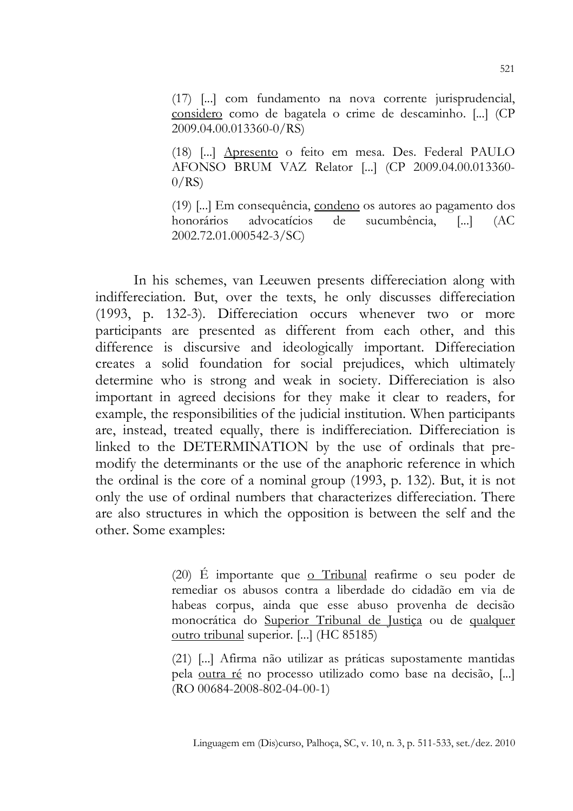(17) [...] com fundamento na nova corrente jurisprudencial, considero como de bagatela o crime de descaminho. [...] (CP 2009.04.00.013360-0/RS)

(18) [...] Apresento o feito em mesa. Des. Federal PAULO AFONSO BRUM VAZ Relator [...] (CP 2009.04.00.013360-  $0/RS$ 

(19) [...] Em consequência, condeno os autores ao pagamento dos honorários advocatícios de sucumbência, [...] (AC 2002.72.01.000542-3/SC)

In his schemes, van Leeuwen presents differeciation along with indiffereciation. But, over the texts, he only discusses differeciation (1993, p. 132-3). Differeciation occurs whenever two or more participants are presented as different from each other, and this difference is discursive and ideologically important. Differeciation creates a solid foundation for social prejudices, which ultimately determine who is strong and weak in society. Differeciation is also important in agreed decisions for they make it clear to readers, for example, the responsibilities of the judicial institution. When participants are, instead, treated equally, there is indiffereciation. Differeciation is linked to the DETERMINATION by the use of ordinals that premodify the determinants or the use of the anaphoric reference in which the ordinal is the core of a nominal group (1993, p. 132). But, it is not only the use of ordinal numbers that characterizes differeciation. There are also structures in which the opposition is between the self and the other. Some examples:

> (20) É importante que o Tribunal reafirme o seu poder de remediar os abusos contra a liberdade do cidadão em via de habeas corpus, ainda que esse abuso provenha de decisão monocrática do Superior Tribunal de Justiça ou de qualquer outro tribunal superior. [...] (HC 85185)

> (21) [...] Afirma não utilizar as práticas supostamente mantidas pela outra ré no processo utilizado como base na decisão, [...] (RO 00684-2008-802-04-00-1)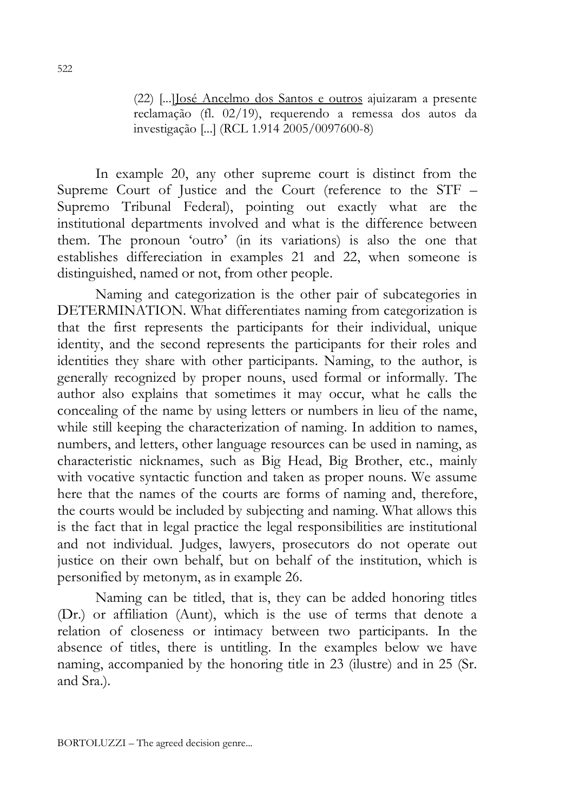(22) [...]José Ancelmo dos Santos e outros ajuizaram a presente reclamação (fl. 02/19), requerendo a remessa dos autos da investigação [...] (RCL 1.914 2005/0097600-8)

In example 20, any other supreme court is distinct from the Supreme Court of Justice and the Court (reference to the STF – Supremo Tribunal Federal), pointing out exactly what are the institutional departments involved and what is the difference between them. The pronoun 'outro' (in its variations) is also the one that establishes differeciation in examples 21 and 22, when someone is distinguished, named or not, from other people.

Naming and categorization is the other pair of subcategories in DETERMINATION. What differentiates naming from categorization is that the first represents the participants for their individual, unique identity, and the second represents the participants for their roles and identities they share with other participants. Naming, to the author, is generally recognized by proper nouns, used formal or informally. The author also explains that sometimes it may occur, what he calls the concealing of the name by using letters or numbers in lieu of the name, while still keeping the characterization of naming. In addition to names, numbers, and letters, other language resources can be used in naming, as characteristic nicknames, such as Big Head, Big Brother, etc., mainly with vocative syntactic function and taken as proper nouns. We assume here that the names of the courts are forms of naming and, therefore, the courts would be included by subjecting and naming. What allows this is the fact that in legal practice the legal responsibilities are institutional and not individual. Judges, lawyers, prosecutors do not operate out justice on their own behalf, but on behalf of the institution, which is personified by metonym, as in example 26.

Naming can be titled, that is, they can be added honoring titles (Dr.) or affiliation (Aunt), which is the use of terms that denote a relation of closeness or intimacy between two participants. In the absence of titles, there is untitling. In the examples below we have naming, accompanied by the honoring title in 23 (ilustre) and in 25 (Sr. and Sra.).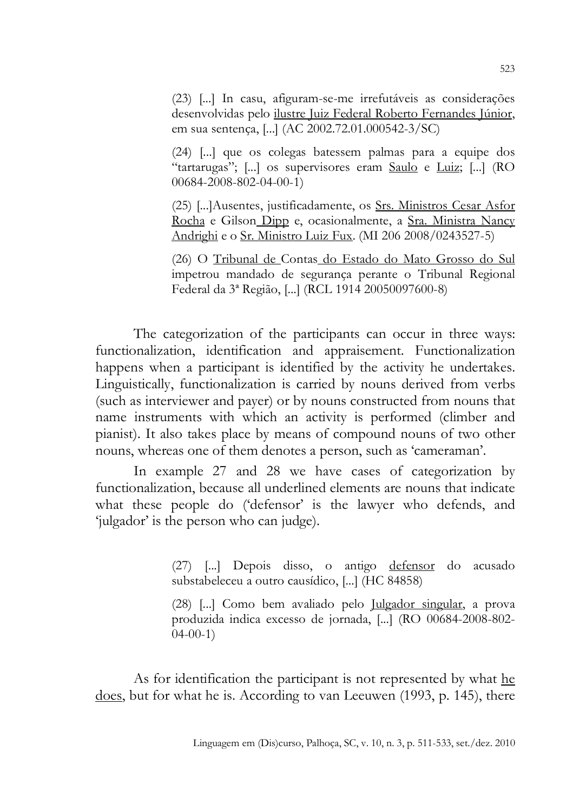(23) [...] In casu, afiguram-se-me irrefutáveis as considerações desenvolvidas pelo ilustre Juiz Federal Roberto Fernandes Júnior, em sua sentença, [...] (AC 2002.72.01.000542-3/SC)

(24) [...] que os colegas batessem palmas para a equipe dos "tartarugas"; [...] os supervisores eram Saulo e Luiz; [...] (RO 00684-2008-802-04-00-1)

(25) [...]Ausentes, justificadamente, os Srs. Ministros Cesar Asfor Rocha e Gilson Dipp e, ocasionalmente, a Sra. Ministra Nancy Andrighi e o Sr. Ministro Luiz Fux. (MI 206 2008/0243527-5)

(26) O Tribunal de Contas do Estado do Mato Grosso do Sul impetrou mandado de segurança perante o Tribunal Regional Federal da 3ª Região, [...] (RCL 1914 20050097600-8)

The categorization of the participants can occur in three ways: functionalization, identification and appraisement. Functionalization happens when a participant is identified by the activity he undertakes. Linguistically, functionalization is carried by nouns derived from verbs (such as interviewer and payer) or by nouns constructed from nouns that name instruments with which an activity is performed (climber and pianist). It also takes place by means of compound nouns of two other nouns, whereas one of them denotes a person, such as 'cameraman'.

In example 27 and 28 we have cases of categorization by functionalization, because all underlined elements are nouns that indicate what these people do ('defensor' is the lawyer who defends, and 'julgador' is the person who can judge).

> (27) [...] Depois disso, o antigo defensor do acusado substabeleceu a outro causídico, [...] (HC 84858)

> (28) [...] Como bem avaliado pelo Julgador singular, a prova produzida indica excesso de jornada, [...] (RO 00684-2008-802- 04-00-1)

As for identification the participant is not represented by what he does, but for what he is. According to van Leeuwen (1993, p. 145), there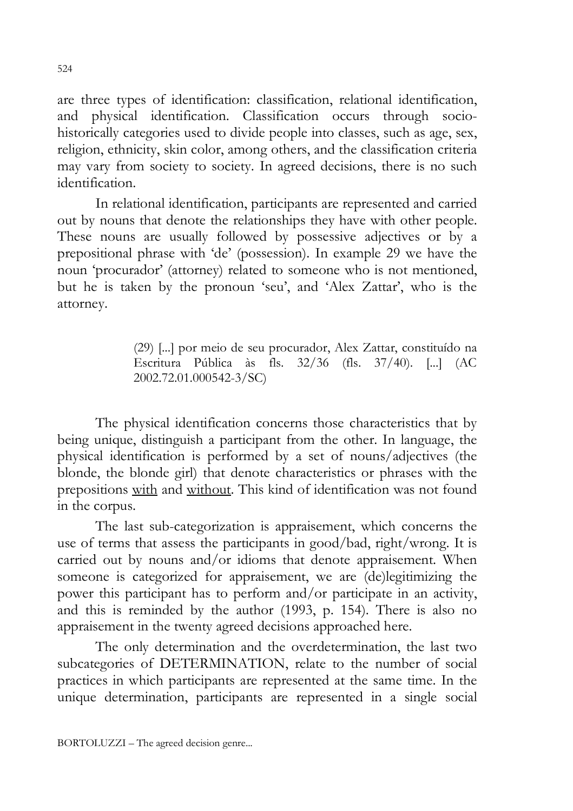are three types of identification: classification, relational identification, and physical identification. Classification occurs through sociohistorically categories used to divide people into classes, such as age, sex, religion, ethnicity, skin color, among others, and the classification criteria may vary from society to society. In agreed decisions, there is no such identification.

In relational identification, participants are represented and carried out by nouns that denote the relationships they have with other people. These nouns are usually followed by possessive adjectives or by a prepositional phrase with 'de' (possession). In example 29 we have the noun 'procurador' (attorney) related to someone who is not mentioned, but he is taken by the pronoun 'seu', and 'Alex Zattar', who is the attorney.

> (29) [...] por meio de seu procurador, Alex Zattar, constituído na Escritura Pública às fls. 32/36 (fls. 37/40). [...] (AC 2002.72.01.000542-3/SC)

The physical identification concerns those characteristics that by being unique, distinguish a participant from the other. In language, the physical identification is performed by a set of nouns/adjectives (the blonde, the blonde girl) that denote characteristics or phrases with the prepositions with and without. This kind of identification was not found in the corpus.

The last sub-categorization is appraisement, which concerns the use of terms that assess the participants in good/bad, right/wrong. It is carried out by nouns and/or idioms that denote appraisement. When someone is categorized for appraisement, we are (de)legitimizing the power this participant has to perform and/or participate in an activity, and this is reminded by the author (1993, p. 154). There is also no appraisement in the twenty agreed decisions approached here.

The only determination and the overdetermination, the last two subcategories of DETERMINATION, relate to the number of social practices in which participants are represented at the same time. In the unique determination, participants are represented in a single social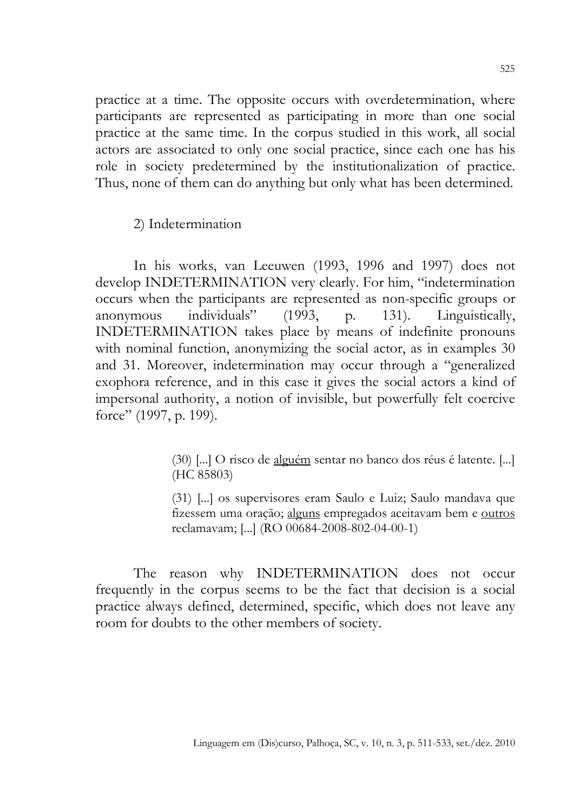practice at a time. The opposite occurs with overdetermination, where participants are represented as participating in more than one social practice at the same time. In the corpus studied in this work, all social actors are associated to only one social practice, since each one has his role in society predetermined by the institutionalization of practice. Thus, none of them can do anything but only what has been determined.

2) Indetermination

In his works, van Leeuwen (1993, 1996 and 1997) does not develop INDETERMINATION very clearly. For him, "indetermination occurs when the participants are represented as non-specific groups or anonymous individuals" (1993, p. 131). Linguistically, INDETERMINATION takes place by means of indefinite pronouns with nominal function, anonymizing the social actor, as in examples 30 and 31. Moreover, indetermination may occur through a "generalized exophora reference, and in this case it gives the social actors a kind of impersonal authority, a notion of invisible, but powerfully felt coercive force" (1997, p. 199).

> (30) [...] O risco de alguém sentar no banco dos réus é latente. [...] (HC 85803)

> (31) [...] os supervisores eram Saulo e Luiz; Saulo mandava que fizessem uma oração; alguns empregados aceitavam bem e outros reclamavam; [...] (RO 00684-2008-802-04-00-1)

The reason why INDETERMINATION does not occur frequently in the corpus seems to be the fact that decision is a social practice always defined, determined, specific, which does not leave any room for doubts to the other members of society.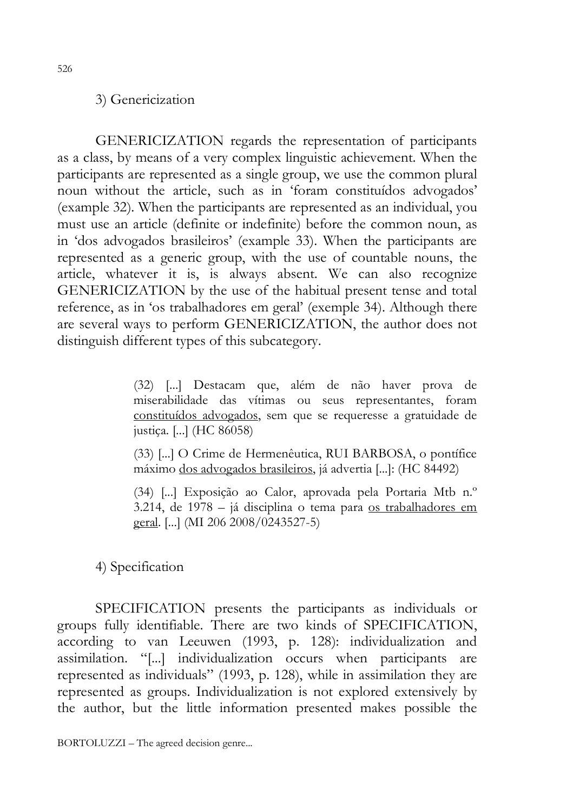## 3) Genericization

GENERICIZATION regards the representation of participants as a class, by means of a very complex linguistic achievement. When the participants are represented as a single group, we use the common plural noun without the article, such as in 'foram constituídos advogados' (example 32). When the participants are represented as an individual, you must use an article (definite or indefinite) before the common noun, as in 'dos advogados brasileiros' (example 33). When the participants are represented as a generic group, with the use of countable nouns, the article, whatever it is, is always absent. We can also recognize GENERICIZATION by the use of the habitual present tense and total reference, as in 'os trabalhadores em geral' (exemple 34). Although there are several ways to perform GENERICIZATION, the author does not distinguish different types of this subcategory.

> (32) [...] Destacam que, além de não haver prova de miserabilidade das vítimas ou seus representantes, foram constituídos advogados, sem que se requeresse a gratuidade de justiça. [...] (HC 86058)

> (33) [...] O Crime de Hermenêutica, RUI BARBOSA, o pontífice máximo dos advogados brasileiros, já advertia [...]: (HC 84492)

> (34) [...] Exposição ao Calor, aprovada pela Portaria Mtb n.º 3.214, de 1978 – já disciplina o tema para os trabalhadores em geral. [...] (MI 206 2008/0243527-5)

4) Specification

SPECIFICATION presents the participants as individuals or groups fully identifiable. There are two kinds of SPECIFICATION, according to van Leeuwen (1993, p. 128): individualization and assimilation. "[...] individualization occurs when participants are represented as individuals" (1993, p. 128), while in assimilation they are represented as groups. Individualization is not explored extensively by the author, but the little information presented makes possible the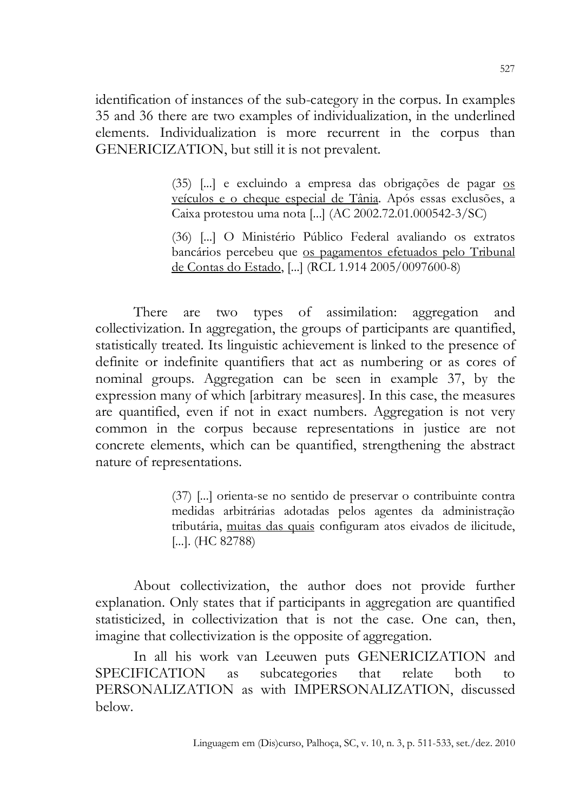identification of instances of the sub-category in the corpus. In examples 35 and 36 there are two examples of individualization, in the underlined elements. Individualization is more recurrent in the corpus than GENERICIZATION, but still it is not prevalent.

> (35) [...] e excluindo a empresa das obrigações de pagar os veículos e o cheque especial de Tânia. Após essas exclusões, a Caixa protestou uma nota [...] (AC 2002.72.01.000542-3/SC)

> (36) [...] O Ministério Público Federal avaliando os extratos bancários percebeu que os pagamentos efetuados pelo Tribunal de Contas do Estado, [...] (RCL 1.914 2005/0097600-8)

There are two types of assimilation: aggregation and collectivization. In aggregation, the groups of participants are quantified, statistically treated. Its linguistic achievement is linked to the presence of definite or indefinite quantifiers that act as numbering or as cores of nominal groups. Aggregation can be seen in example 37, by the expression many of which [arbitrary measures]. In this case, the measures are quantified, even if not in exact numbers. Aggregation is not very common in the corpus because representations in justice are not concrete elements, which can be quantified, strengthening the abstract nature of representations.

> (37) [...] orienta-se no sentido de preservar o contribuinte contra medidas arbitrárias adotadas pelos agentes da administração tributária, muitas das quais configuram atos eivados de ilicitude, [...]. (HC 82788)

About collectivization, the author does not provide further explanation. Only states that if participants in aggregation are quantified statisticized, in collectivization that is not the case. One can, then, imagine that collectivization is the opposite of aggregation.

In all his work van Leeuwen puts GENERICIZATION and IFICATION as subcategories that relate both to SPECIFICATION as subcategories that relate both to PERSONALIZATION as with IMPERSONALIZATION, discussed below.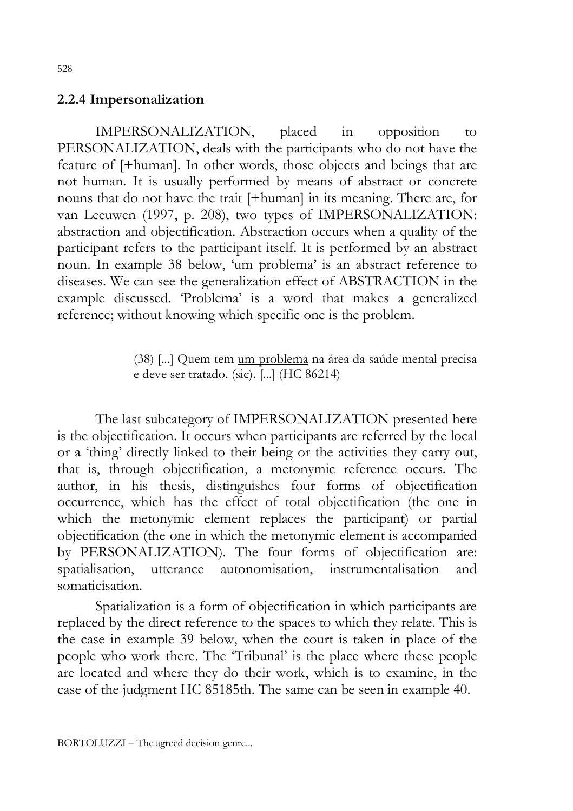#### 2.2.4 Impersonalization

IMPERSONALIZATION, placed in opposition to PERSONALIZATION, deals with the participants who do not have the feature of [+human]. In other words, those objects and beings that are not human. It is usually performed by means of abstract or concrete nouns that do not have the trait [+human] in its meaning. There are, for van Leeuwen (1997, p. 208), two types of IMPERSONALIZATION: abstraction and objectification. Abstraction occurs when a quality of the participant refers to the participant itself. It is performed by an abstract noun. In example 38 below, 'um problema' is an abstract reference to diseases. We can see the generalization effect of ABSTRACTION in the example discussed. 'Problema' is a word that makes a generalized reference; without knowing which specific one is the problem.

> (38) [...] Quem tem um problema na área da saúde mental precisa e deve ser tratado. (sic). [...] (HC 86214)

The last subcategory of IMPERSONALIZATION presented here is the objectification. It occurs when participants are referred by the local or a 'thing' directly linked to their being or the activities they carry out, that is, through objectification, a metonymic reference occurs. The author, in his thesis, distinguishes four forms of objectification occurrence, which has the effect of total objectification (the one in which the metonymic element replaces the participant) or partial objectification (the one in which the metonymic element is accompanied by PERSONALIZATION). The four forms of objectification are: spatialisation, utterance autonomisation, instrumentalisation and somaticisation.

Spatialization is a form of objectification in which participants are replaced by the direct reference to the spaces to which they relate. This is the case in example 39 below, when the court is taken in place of the people who work there. The 'Tribunal' is the place where these people are located and where they do their work, which is to examine, in the case of the judgment HC 85185th. The same can be seen in example 40.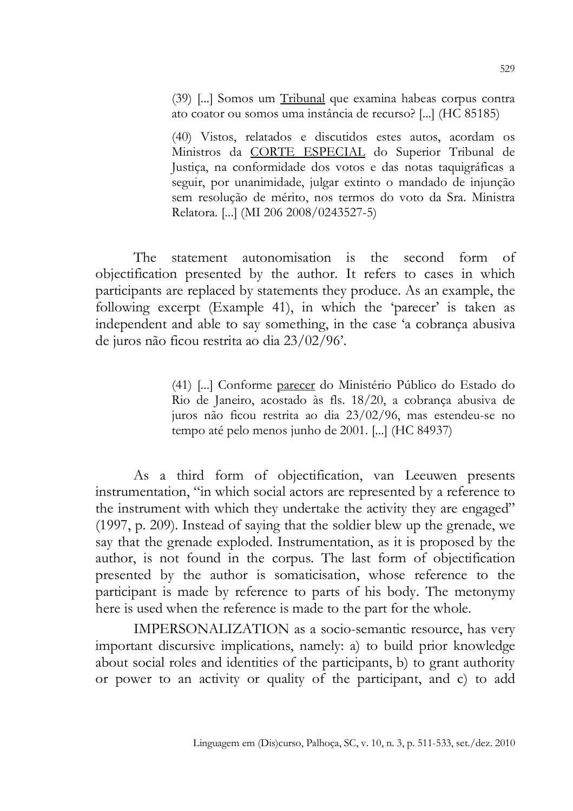(39) [...] Somos um Tribunal que examina habeas corpus contra ato coator ou somos uma instância de recurso? [...] (HC 85185)

(40) Vistos, relatados e discutidos estes autos, acordam os Ministros da CORTE ESPECIAL do Superior Tribunal de Justiça, na conformidade dos votos e das notas taquigráficas a seguir, por unanimidade, julgar extinto o mandado de injunção sem resolução de mérito, nos termos do voto da Sra. Ministra Relatora. [...] (MI 206 2008/0243527-5)

The statement autonomisation is the second form of objectification presented by the author. It refers to cases in which participants are replaced by statements they produce. As an example, the following excerpt (Example 41), in which the 'parecer' is taken as independent and able to say something, in the case 'a cobrança abusiva de juros não ficou restrita ao dia 23/02/96'.

> (41) [...] Conforme parecer do Ministério Público do Estado do Rio de Janeiro, acostado às fls. 18/20, a cobrança abusiva de juros não ficou restrita ao dia 23/02/96, mas estendeu-se no tempo até pelo menos junho de 2001. [...] (HC 84937)

As a third form of objectification, van Leeuwen presents instrumentation, "in which social actors are represented by a reference to the instrument with which they undertake the activity they are engaged" (1997, p. 209). Instead of saying that the soldier blew up the grenade, we say that the grenade exploded. Instrumentation, as it is proposed by the author, is not found in the corpus. The last form of objectification presented by the author is somaticisation, whose reference to the participant is made by reference to parts of his body. The metonymy here is used when the reference is made to the part for the whole.

IMPERSONALIZATION as a socio-semantic resource, has very important discursive implications, namely: a) to build prior knowledge about social roles and identities of the participants, b) to grant authority or power to an activity or quality of the participant, and c) to add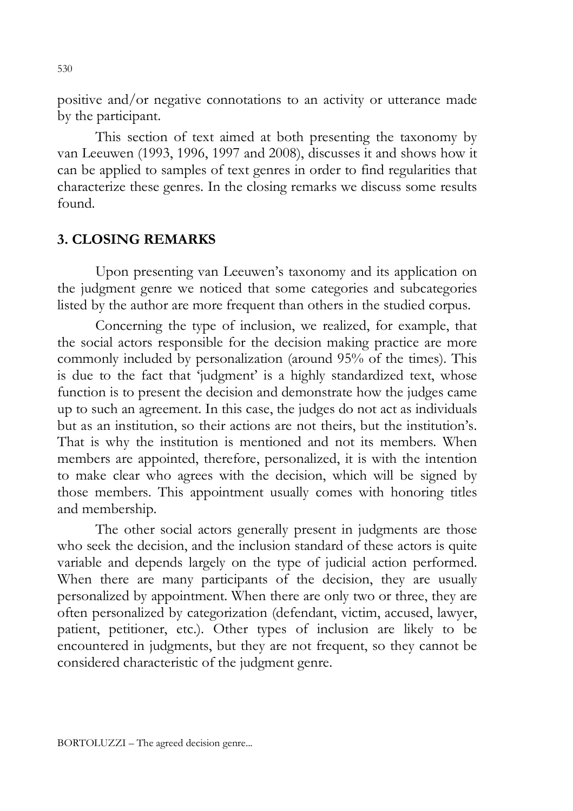positive and/or negative connotations to an activity or utterance made by the participant.

This section of text aimed at both presenting the taxonomy by van Leeuwen (1993, 1996, 1997 and 2008), discusses it and shows how it can be applied to samples of text genres in order to find regularities that characterize these genres. In the closing remarks we discuss some results found.

#### 3. CLOSING REMARKS

Upon presenting van Leeuwen's taxonomy and its application on the judgment genre we noticed that some categories and subcategories listed by the author are more frequent than others in the studied corpus.

Concerning the type of inclusion, we realized, for example, that the social actors responsible for the decision making practice are more commonly included by personalization (around 95% of the times). This is due to the fact that 'judgment' is a highly standardized text, whose function is to present the decision and demonstrate how the judges came up to such an agreement. In this case, the judges do not act as individuals but as an institution, so their actions are not theirs, but the institution's. That is why the institution is mentioned and not its members. When members are appointed, therefore, personalized, it is with the intention to make clear who agrees with the decision, which will be signed by those members. This appointment usually comes with honoring titles and membership.

The other social actors generally present in judgments are those who seek the decision, and the inclusion standard of these actors is quite variable and depends largely on the type of judicial action performed. When there are many participants of the decision, they are usually personalized by appointment. When there are only two or three, they are often personalized by categorization (defendant, victim, accused, lawyer, patient, petitioner, etc.). Other types of inclusion are likely to be encountered in judgments, but they are not frequent, so they cannot be considered characteristic of the judgment genre.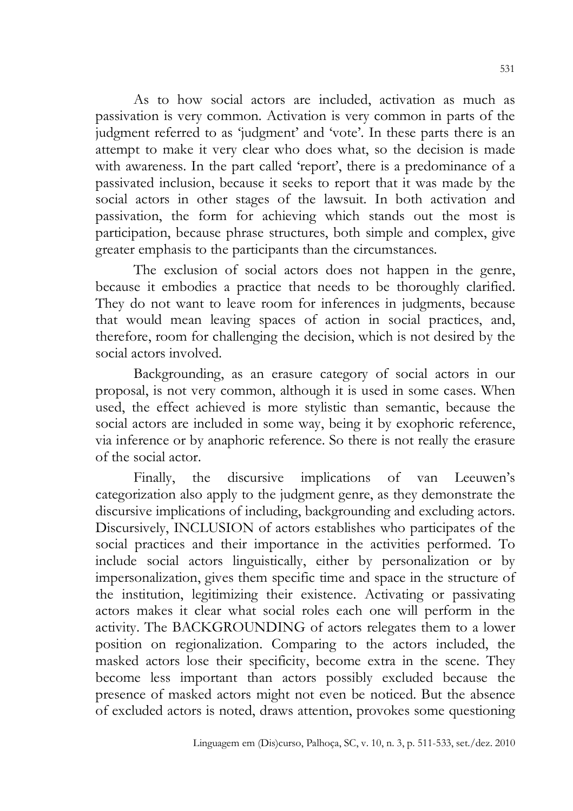As to how social actors are included, activation as much as passivation is very common. Activation is very common in parts of the judgment referred to as 'judgment' and 'vote'. In these parts there is an attempt to make it very clear who does what, so the decision is made with awareness. In the part called 'report', there is a predominance of a passivated inclusion, because it seeks to report that it was made by the social actors in other stages of the lawsuit. In both activation and passivation, the form for achieving which stands out the most is participation, because phrase structures, both simple and complex, give greater emphasis to the participants than the circumstances.

The exclusion of social actors does not happen in the genre, because it embodies a practice that needs to be thoroughly clarified. They do not want to leave room for inferences in judgments, because that would mean leaving spaces of action in social practices, and, therefore, room for challenging the decision, which is not desired by the social actors involved.

Backgrounding, as an erasure category of social actors in our proposal, is not very common, although it is used in some cases. When used, the effect achieved is more stylistic than semantic, because the social actors are included in some way, being it by exophoric reference, via inference or by anaphoric reference. So there is not really the erasure of the social actor.

Finally, the discursive implications of van Leeuwen's categorization also apply to the judgment genre, as they demonstrate the discursive implications of including, backgrounding and excluding actors. Discursively, INCLUSION of actors establishes who participates of the social practices and their importance in the activities performed. To include social actors linguistically, either by personalization or by impersonalization, gives them specific time and space in the structure of the institution, legitimizing their existence. Activating or passivating actors makes it clear what social roles each one will perform in the activity. The BACKGROUNDING of actors relegates them to a lower position on regionalization. Comparing to the actors included, the masked actors lose their specificity, become extra in the scene. They become less important than actors possibly excluded because the presence of masked actors might not even be noticed. But the absence of excluded actors is noted, draws attention, provokes some questioning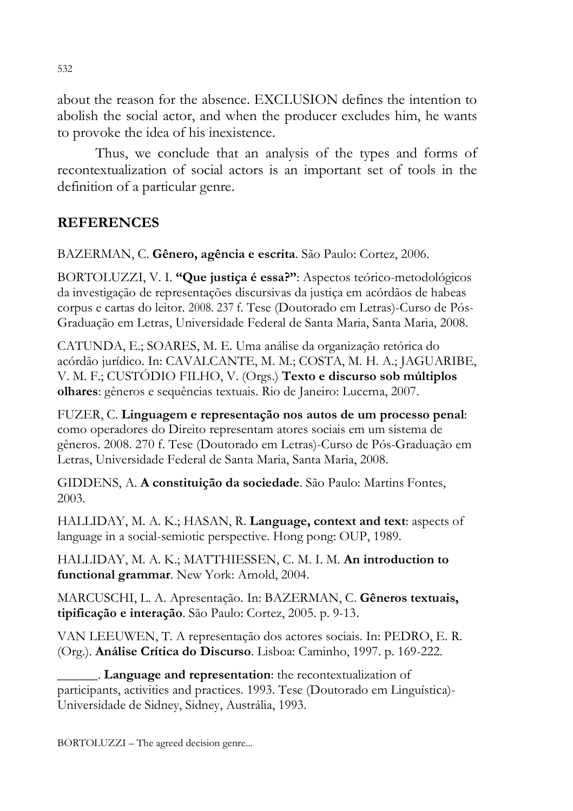about the reason for the absence. EXCLUSION defines the intention to abolish the social actor, and when the producer excludes him, he wants to provoke the idea of his inexistence.

Thus, we conclude that an analysis of the types and forms of recontextualization of social actors is an important set of tools in the definition of a particular genre.

# **REFERENCES**

BAZERMAN, C. Gênero, agência e escrita. São Paulo: Cortez, 2006.

BORTOLUZZI, V. I. "Que justiça é essa?": Aspectos teórico-metodológicos da investigação de representações discursivas da justiça em acórdãos de habeas corpus e cartas do leitor. 2008. 237 f. Tese (Doutorado em Letras)-Curso de Pós-Graduação em Letras, Universidade Federal de Santa Maria, Santa Maria, 2008.

CATUNDA, E.; SOARES, M. E. Uma análise da organização retórica do acórdão jurídico. In: CAVALCANTE, M. M.; COSTA, M. H. A.; JAGUARIBE, V. M. F.; CUSTÓDIO FILHO, V. (Orgs.) Texto e discurso sob múltiplos olhares: gêneros e sequências textuais. Rio de Janeiro: Lucerna, 2007.

FUZER, C. Linguagem e representação nos autos de um processo penal: como operadores do Direito representam atores sociais em um sistema de gêneros. 2008. 270 f. Tese (Doutorado em Letras)-Curso de Pós-Graduação em Letras, Universidade Federal de Santa Maria, Santa Maria, 2008.

GIDDENS, A. A constituição da sociedade. São Paulo: Martins Fontes, 2003.

HALLIDAY, M. A. K.; HASAN, R. Language, context and text: aspects of language in a social-semiotic perspective. Hong pong: OUP, 1989.

HALLIDAY, M. A. K.; MATTHIESSEN, C. M. I. M. An introduction to functional grammar. New York: Arnold, 2004.

MARCUSCHI, L. A. Apresentação. In: BAZERMAN, C. Gêneros textuais, tipificação e interação. São Paulo: Cortez, 2005. p. 9-13.

VAN LEEUWEN, T. A representação dos actores sociais. In: PEDRO, E. R. (Org.). Análise Crítica do Discurso. Lisboa: Caminho, 1997. p. 169-222.

\_\_\_\_\_\_. Language and representation: the recontextualization of participants, activities and practices. 1993. Tese (Doutorado em Linguística)- Universidade de Sidney, Sidney, Austrália, 1993.